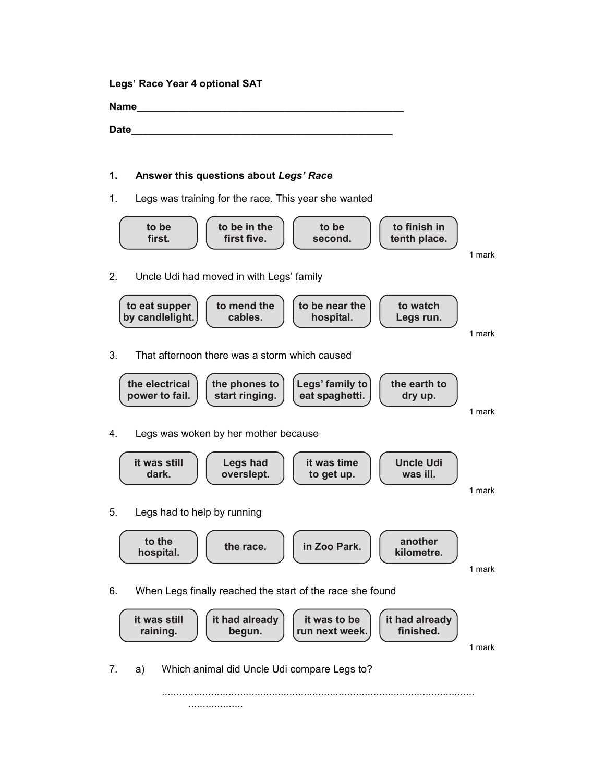Legs' Race Year 4 optional SAT

Name\_\_\_\_\_\_\_\_\_\_\_\_\_\_\_\_\_\_\_\_\_\_\_\_\_\_\_\_\_\_\_\_\_\_\_\_\_\_\_\_\_\_\_\_\_\_\_

Date\_\_\_\_\_\_\_\_\_\_\_\_\_\_\_\_\_\_\_\_\_\_\_\_\_\_\_\_\_\_\_\_\_\_\_\_\_\_\_\_\_\_\_\_\_\_

## 1. Answer this questions about Legs' Race

1. Legs was training for the race. This year she wanted

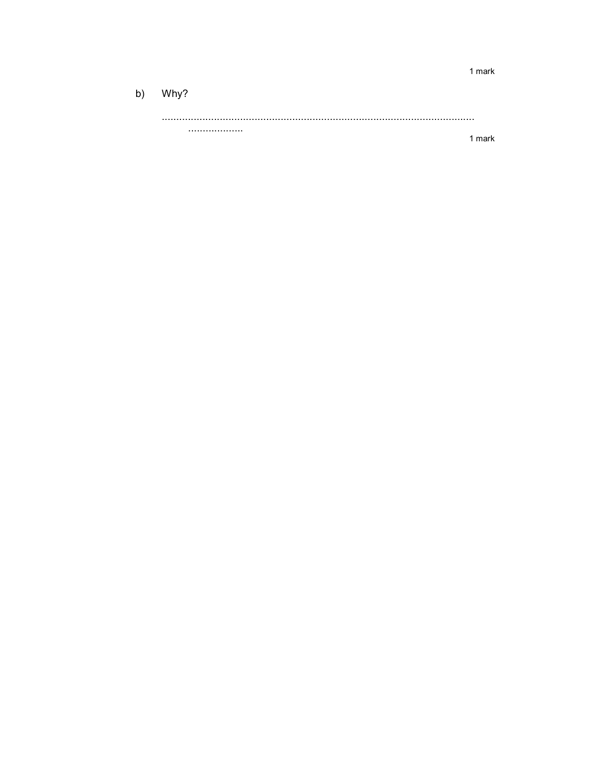b) Why? . . . . . . . . . . . . . . . . . . . . 1 mark

1 mark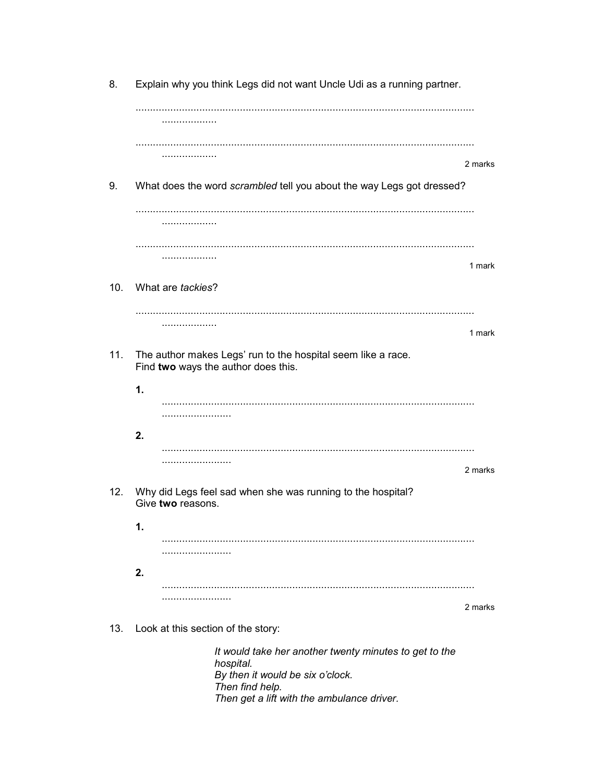8. Explain why you think Legs did not want Uncle Udi as a running partner. . . . . . . . . . . . . . . . . . . . . . . . . . . . . . . . . . . . . . . . . 2 marks 9. What does the word scrambled tell you about the way Legs got dressed? . . . . . . . . . . . . . . . . . . . . . . . . . . . . . . . . . . . . . . . 1 mark 10. What are tackies? . . . . . . . . . . . . . . . . . . . . 1 mark 11. The author makes Legs' run to the hospital seem like a race. Find two ways the author does this.  $1.$ .......................  $2.$ 2 marks 12. Why did Legs feel sad when she was running to the hospital? Give two reasons.  $1.$ ........................  $2.$ 2 marks 13. Look at this section of the story: It would take her another twenty minutes to get to the hospital. By then it would be six o'clock. Then find help. Then get a lift with the ambulance driver.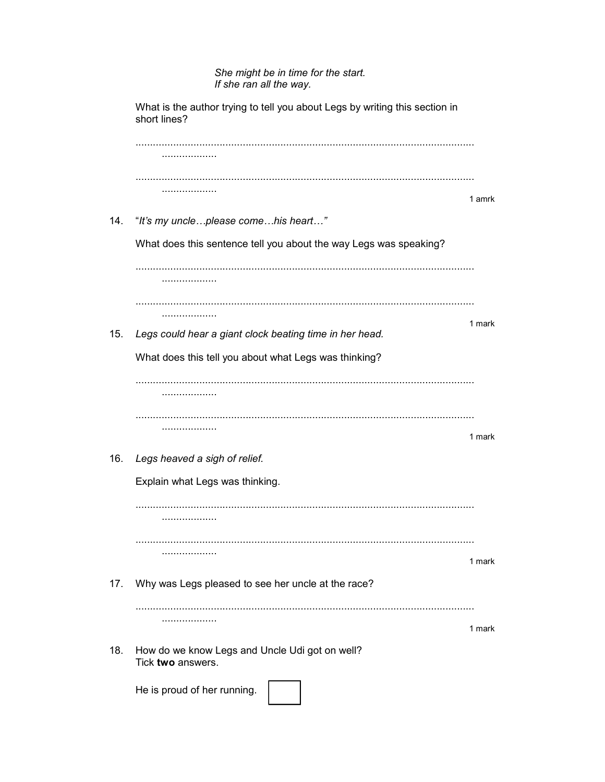## She might be in time for the start. If she ran all the way.

What is the author trying to tell you about Legs by writing this section in short lines? . . . . . . . . . . . . . . . . . . . 1 amrk 14. "It's my uncle...please come...his heart..." What does this sentence tell you about the way Legs was speaking? .................. . . . . . . . . . . . . . . . . . . . . 1 mark 15. Legs could hear a giant clock beating time in her head. What does this tell you about what Legs was thinking? . . . . . . . . . . . . . . . . . . . . . . . . . . . . . . . . . . . . . . . 1 mark 16. Legs heaved a sigh of relief. Explain what Legs was thinking. . . . . . . . . . . . . . . . . . . . . . . . . . . . . . . . . . . . . . . . 1 mark 17. Why was Legs pleased to see her uncle at the race? . . . . . . . . . . . . . . . . . . . 1 mark 18. How do we know Legs and Uncle Udi got on well? Tick two answers. He is proud of her running.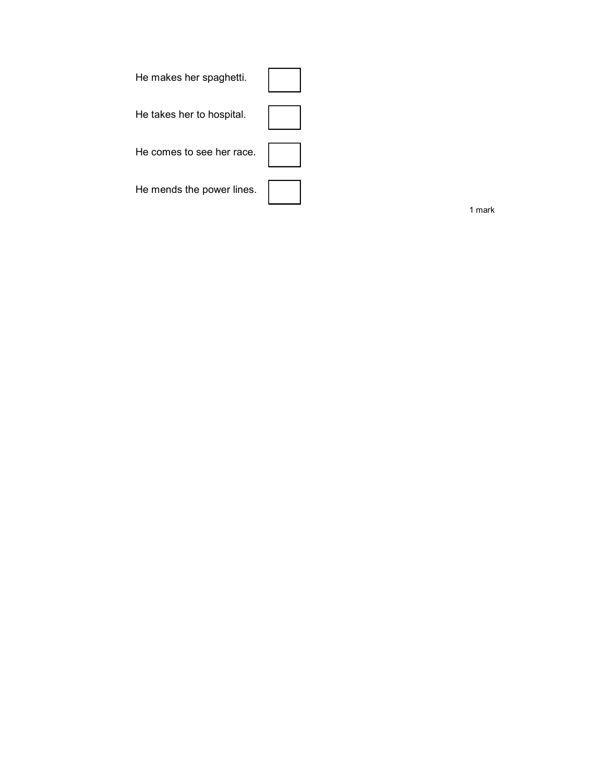| He makes her spaghetti.   |  |
|---------------------------|--|
| He takes her to hospital. |  |
| He comes to see her race. |  |
| He mends the power lines. |  |

1 mark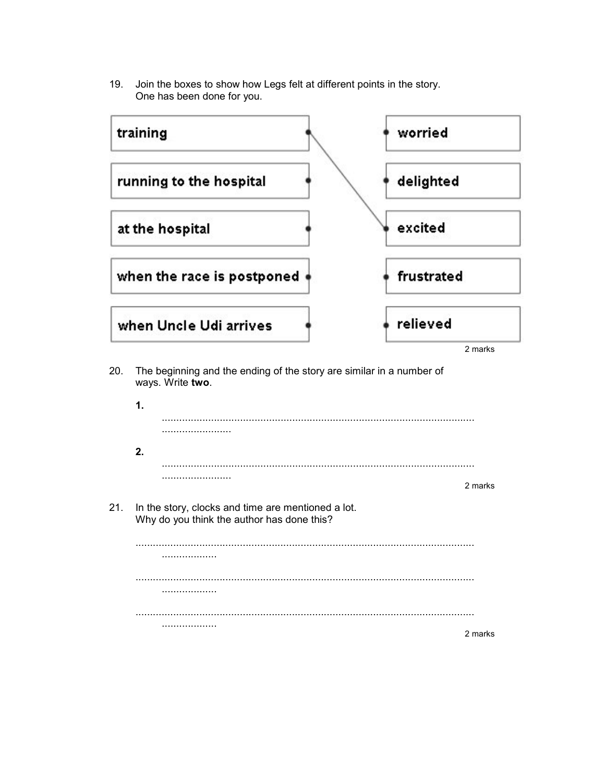19. Join the boxes to show how Legs felt at different points in the story. One has been done for you.